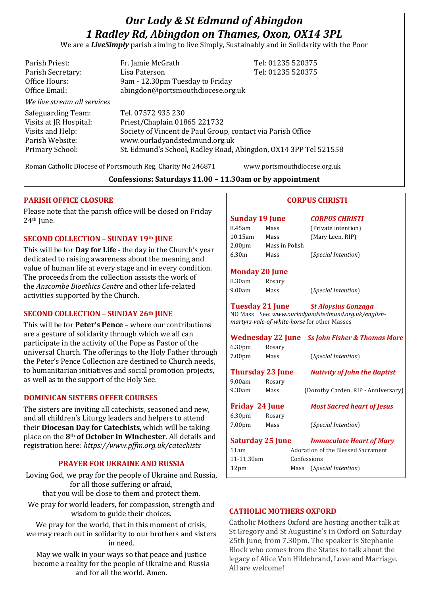# *Our Lady & St Edmund of Abingdon 1 Radley Rd, Abingdon on Thames, Oxon, OX14 3PL*

We are a *LiveSimply* parish aiming to live Simply, Sustainably and in Solidarity with the Poor

| Parish Priest:              | Fr. Jamie McGrath                                               | Tel: 01235 520375 |
|-----------------------------|-----------------------------------------------------------------|-------------------|
| Parish Secretary:           | Lisa Paterson                                                   | Tel: 01235 520375 |
| Office Hours:               | 9am - 12.30pm Tuesday to Friday                                 |                   |
| Office Email:               | abingdon@portsmouthdiocese.org.uk                               |                   |
| We live stream all services |                                                                 |                   |
| Safeguarding Team:          | Tel. 07572 935 230                                              |                   |
| Visits at JR Hospital:      | Priest/Chaplain 01865 221732                                    |                   |
| Visits and Help:            | Society of Vincent de Paul Group, contact via Parish Office     |                   |
| Parish Website:             | www.ourladyandstedmund.org.uk                                   |                   |
| Primary School:             | St. Edmund's School, Radley Road, Abingdon, OX14 3PP Tel 521558 |                   |
|                             |                                                                 |                   |

Roman Catholic Diocese of Portsmouth Reg. Charity No 246871 www.portsmouthdiocese.org.uk

# **Confessions: Saturdays 11.00 – 11.30am or by appointment**

# **PARISH OFFICE CLOSURE**

Please note that the parish office will be closed on Friday 24<sup>th</sup> June.

# **SECOND COLLECTION – SUNDAY 19th JUNE**

This will be for **Day for Life** - the day in the Church's year dedicated to raising awareness about the meaning and value of human life at every stage and in every condition. The proceeds from the collection assists the work of the *Anscombe Bioethics Centre* and other life-related activities supported by the Church.

### **SECOND COLLECTION – SUNDAY 26th JUNE**

This will be for **Peter's Pence** – where our contributions are a gesture of solidarity through which we all can participate in the activity of the Pope as Pastor of the universal Church. The offerings to the Holy Father through the Peter's Pence Collection are destined to Church needs, to humanitarian initiatives and social promotion projects, as well as to the support of the Holy See.

### **DOMINICAN SISTERS OFFER COURSES**

The sisters are inviting all catechists, seasoned and new, and all children's Liturgy leaders and helpers to attend their **Diocesan Day for Catechists**, which will be taking place on the **8th of October in Winchester**. All details and registration here: *https://www.pffm.org.uk/catechists*

### **PRAYER FOR UKRAINE AND RUSSIA**

Loving God, we pray for the people of Ukraine and Russia, for all those suffering or afraid, that you will be close to them and protect them.

We pray for world leaders, for compassion, strength and wisdom to guide their choices.

We pray for the world, that in this moment of crisis, we may reach out in solidarity to our brothers and sisters in need.

May we walk in your ways so that peace and justice become a reality for the people of Ukraine and Russia and for all the world. Amen.

# **CORPUS CHRISTI**

# **Sunday 19 June** *CORPUS CHRISTI* 8.45am Mass (Private intention) 10.15am Mass (Mary Leen, RIP) 2.00pm Mass in Polish 6.30m Mass (*Special Intention*)

#### **Monday 20 June**

| 8.30am | Rosary |
|--------|--------|
| 9.00am | Mass   |

9.00am Mass (*Special Intention*)

# **Tuesday 21 June** *St Aloysius Gonzaga*

NO Mass See: *www.ourladyandstedmund.org.uk/englishmartyrs-vale-of-white-horse* for other Masses

|                    |                         | <b>Wednesday 22 June</b> Ss John Fisher & Thomas More |
|--------------------|-------------------------|-------------------------------------------------------|
| 6.30 <sub>pm</sub> | Rosary                  |                                                       |
| 7.00pm             | Mass                    | (Special Intention)                                   |
|                    | <b>Thursday 23 June</b> | <b>Nativity of John the Baptist</b>                   |
| 9.00am             | Rosary                  |                                                       |
| 9.30am             | Mass                    | (Dorothy Carden, RIP - Anniversary)                   |
|                    | Friday 24 June          | <b>Most Sacred heart of Jesus</b>                     |
| 6.30 <sub>pm</sub> | Rosary                  |                                                       |
| 7.00pm             | Mass                    | <i>(Special Intention)</i>                            |
|                    | <b>Saturday 25 June</b> | <b>Immaculate Heart of Mary</b>                       |
| 11am               |                         | Adoration of the Blessed Sacrament                    |
| 11-11.30am         |                         | Confessions                                           |
|                    |                         |                                                       |

12pm Mass (*Special Intention*)

# **CATHOLIC MOTHERS OXFORD**

Catholic Mothers Oxford are hosting another talk at St Gregory and St Augustine's in Oxford on Saturday 25th June, from 7.30pm. The speaker is Stephanie Block who comes from the States to talk about the legacy of Alice Von Hildebrand, Love and Marriage. All are welcome!